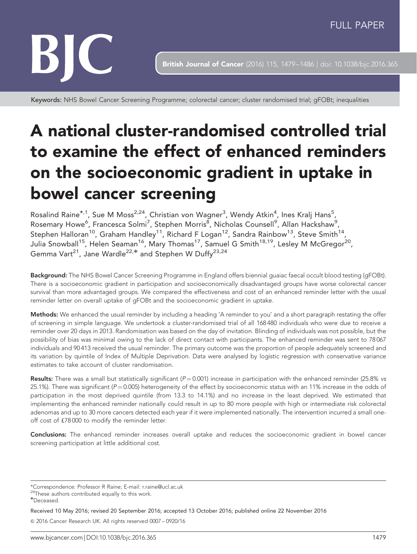# BIC

British Journal of Cancer (2016) 115, 1479-1486 | doi: 10.1038/bjc.2016.365

Keywords: NHS Bowel Cancer Screening Programme; colorectal cancer; cluster randomised trial; gFOBt; inequalities

# A national cluster-randomised controlled trial to examine the effect of enhanced reminders on the socioeconomic gradient in uptake in bowel cancer screening

Rosalind Raine<sup>\*,1</sup>, Sue M Moss<sup>2,24</sup>, Christian von Wagner<sup>3</sup>, Wendy Atkin<sup>4</sup>, Ines Kralj Hans<sup>5</sup>, Rosemary Howe<sup>6</sup>, Francesca Solmi<sup>7</sup>, Stephen Morris<sup>8</sup>, Nicholas Counsell<sup>9</sup>, Allan Hackshaw<sup>9</sup>, Stephen Halloran<sup>10</sup>, Graham Handley<sup>11</sup>, Richard F Logan<sup>12</sup>, Sandra Rainbow<sup>13</sup>, Steve Smith<sup>14</sup>, Julia Snowball<sup>15</sup>, Helen Seaman<sup>16</sup>, Mary Thomas<sup>17</sup>, Samuel G Smith<sup>18,19</sup>, Lesley M McGregor<sup>20</sup>, Gemma Vart $^{21}$ , Jane Wardle $^{22, \rm{A}}$  and Stephen W Duffy $^{23, 24}$ 

Background: The NHS Bowel Cancer Screening Programme in England offers biennial guaiac faecal occult blood testing (gFOBt). There is a socioeconomic gradient in participation and socioeconomically disadvantaged groups have worse colorectal cancer survival than more advantaged groups. We compared the effectiveness and cost of an enhanced reminder letter with the usual reminder letter on overall uptake of gFOBt and the socioeconomic gradient in uptake.

Methods: We enhanced the usual reminder by including a heading 'A reminder to you' and a short paragraph restating the offer of screening in simple language. We undertook a cluster-randomised trial of all 168 480 individuals who were due to receive a reminder over 20 days in 2013. Randomisation was based on the day of invitation. Blinding of individuals was not possible, but the possibility of bias was minimal owing to the lack of direct contact with participants. The enhanced reminder was sent to 78 067 individuals and 90 413 received the usual reminder. The primary outcome was the proportion of people adequately screened and its variation by quintile of Index of Multiple Deprivation. Data were analysed by logistic regression with conservative variance estimates to take account of cluster randomisation.

Results: There was a small but statistically significant ( $P = 0.001$ ) increase in participation with the enhanced reminder (25.8% vs 25.1%). There was significant ( $P = 0.005$ ) heterogeneity of the effect by socioeconomic status with an 11% increase in the odds of participation in the most deprived quintile (from 13.3 to 14.1%) and no increase in the least deprived. We estimated that implementing the enhanced reminder nationally could result in up to 80 more people with high or intermediate risk colorectal adenomas and up to 30 more cancers detected each year if it were implemented nationally. The intervention incurred a small oneoff cost of  $£78000$  to modify the reminder letter.

Conclusions: The enhanced reminder increases overall uptake and reduces the socioeconomic gradient in bowel cancer screening participation at little additional cost.

<sup>\*</sup>Correspondence: Professor R Raine; E-mail: [r.raine@ucl.ac.uk](mailto:r.raine@ucl.ac.uk)

<sup>&</sup>lt;sup>24</sup>These authors contributed equally to this work.

<sup>{</sup>Deceased.

Received 10 May 2016; revised 20 September 2016; accepted 13 October 2016; published online 22 November 2016

<sup>&</sup>amp; 2016 Cancer Research UK. All rights reserved 0007 – 0920/16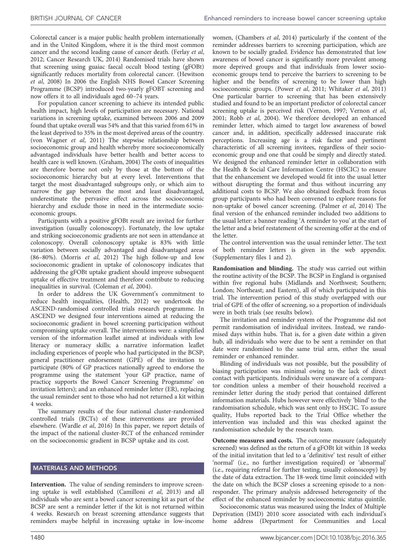Colorectal cancer is a major public health problem internationally and in the United Kingdom, where it is the third most common cancer and the second leading cause of cancer death. [\(Ferlay](#page-6-0) et al, [2012](#page-6-0); [Cancer Research UK, 2014\)](#page-6-0) Randomised trials have shown that screening using guaiac faecal occult blood testing (gFOBt) significantly reduces mortality from colorectal cancer. [\(Hewitson](#page-6-0) et al[, 2008](#page-6-0)) In 2006 the English NHS Bowel Cancer Screening Programme (BCSP) introduced two-yearly gFOBT screening and now offers it to all individuals aged 60–74 years.

For population cancer screening to achieve its intended public health impact, high levels of participation are necessary. National variations in screening uptake, examined between 2006 and 2009 found that uptake overall was 54% and that this varied from 61% in the least deprived to 35% in the most deprived areas of the country. ([von Wagner](#page-6-0) et al, 2011) The stepwise relationship between socioeconomic group and health whereby more socioeconomically advantaged individuals have better health and better access to health care is well known. ([Graham, 2004](#page-6-0)) The costs of inequalities are therefore borne not only by those at the bottom of the socioeconomic hierarchy but at every level. Interventions that target the most disadvantaged subgroups only, or which aim to narrow the gap between the most and least disadvantaged, underestimate the pervasive effect across the socioeconomic hierarchy and exclude those in need in the intermediate socioeconomic groups.

Participants with a positive gFOBt result are invited for further investigation (usually colonoscopy). Fortunately, the low uptake and striking socioeconomic gradients are not seen in attendance at colonoscopy. Overall colonoscopy uptake is 83% with little variation between socially advantaged and disadvantaged areas (86–80%). [\(Morris](#page-6-0) et al, 2012) The high follow-up and low socioeconomic gradient in uptake of colonoscopy indicates that addressing the gFOBt uptake gradient should improve subsequent uptake of effective treatment and therefore contribute to reducing inequalities in survival. [\(Coleman](#page-6-0) et al, 2004).

In order to address the UK Government's commitment to reduce health inequalities, ([Health, 2012\)](#page-6-0) we undertook the ASCEND-randomised controlled trials research programme. In ASCEND we designed four interventions aimed at reducing the socioeconomic gradient in bowel screening participation without compromising uptake overall. The interventions were: a simplified version of the information leaflet aimed at individuals with low literacy or numeracy skills; a narrative information leaflet including experiences of people who had participated in the BCSP; general practitioner endorsement (GPE) of the invitation to participate (80% of GP practices nationally agreed to endorse the programme using the statement 'your GP practice, name of practice supports the Bowel Cancer Screening Programme' on invitation letters); and an enhanced reminder letter (ER), replacing the usual reminder sent to those who had not returned a kit within 4 weeks.

The summary results of the four national cluster-randomised controlled trials (RCTs) of these interventions are provided elsewhere. ([Wardle](#page-7-0) et al, 2016) In this paper, we report details of the impact of the national cluster-RCT of the enhanced reminder on the socioeconomic gradient in BCSP uptake and its cost.

#### MATERIALS AND METHODS

Intervention. The value of sending reminders to improve screening uptake is well established [\(Camilloni](#page-6-0) et al, 2013) and all individuals who are sent a bowel cancer screening kit as part of the BCSP are sent a reminder letter if the kit is not returned within 4 weeks. Research on breast screening attendance suggests that reminders maybe helpful in increasing uptake in low-income

women, ([Chambers](#page-6-0) et al, 2014) particularly if the content of the reminder addresses barriers to screening participation, which are known to be socially graded. Evidence has demonstrated that low awareness of bowel cancer is significantly more prevalent among more deprived groups and that individuals from lower socioeconomic groups tend to perceive the barriers to screening to be higher and the benefits of screening to be lower than high socioeconomic groups. (Power et al[, 2011;](#page-6-0) [Whitaker](#page-7-0) et al, 2011) One particular barrier to screening that has been extensively studied and found to be an important predictor of colorectal cancer screening uptake is perceived risk ([Vernon, 1997; Vernon](#page-6-0) et al, [2001](#page-6-0); Robb et al[, 2004\)](#page-6-0). We therefore developed an enhanced reminder letter, which aimed to target low awareness of bowel cancer and, in addition, specifically addressed inaccurate risk perceptions. Increasing age is a risk factor and pertinent characteristic of all screening invitees, regardless of their socioeconomic group and one that could be simply and directly stated. We designed the enhanced reminder letter in collaboration with the Health & Social Care Information Centre (HSCIC) to ensure that the enhancement we developed would fit into the usual letter without disrupting the format and thus without incurring any additional costs to BCSP. We also obtained feedback from focus group participants who had been convened to explore reasons for non-uptake of bowel cancer screening. [\(Palmer](#page-6-0) et al, 2014) The final version of the enhanced reminder included two additions to the usual letter: a banner reading 'A reminder to you' at the start of the letter and a brief restatement of the screening offer at the end of the letter.

The control intervention was the usual reminder letter. The text of both reminder letters is given in the web appendix. (Supplementary files 1 and 2).

Randomisation and blinding. The study was carried out within the routine activity of the BCSP. The BCSP in England is organised within five regional hubs (Midlands and Northwest; Southern; London; Northeast; and Eastern), all of which participated in this trial. The intervention period of this study overlapped with our trial of GPE of the offer of screening, so a proportion of individuals were in both trials (see results below).

The invitation and reminder system of the Programme did not permit randomisation of individual invitees. Instead, we randomised days within hubs. That is, for a given date within a given hub, all individuals who were due to be sent a reminder on that date were randomised to the same trial arm, either the usual reminder or enhanced reminder.

Blinding of individuals was not possible, but the possibility of biasing participation was minimal owing to the lack of direct contact with participants. Individuals were unaware of a comparator condition unless a member of their household received a reminder letter during the study period that contained different information materials. Hubs however were effectively 'blind' to the randomisation schedule, which was sent only to HSCIC. To assure quality, Hubs reported back to the Trial Office whether the intervention was included and this was checked against the randomisation schedule by the research team.

Outcome measures and costs. The outcome measure (adequately screened) was defined as the return of a gFOBt kit within 18 weeks of the initial invitation that led to a 'definitive' test result of either 'normal' (i.e., no further investigation required) or 'abnormal' (i.e., requiring referral for further testing, usually colonoscopy) by the date of data extraction. The 18-week time limit coincided with the date on which the BCSP closes a screening episode to a nonresponder. The primary analysis addressed heterogeneity of the effect of the enhanced reminder by socioeconomic status quintile.

Socioeconomic status was measured using the Index of Multiple Deprivation (IMD) 2010 score associated with each individual's home address [\(Department for Communities and Local](#page-6-0)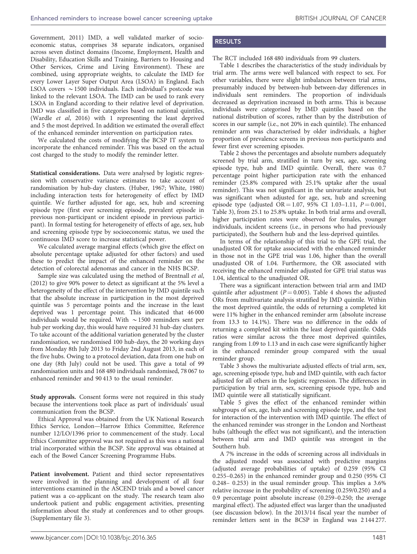[Government, 2011\)](#page-6-0) IMD, a well validated marker of socioeconomic status, comprises 38 separate indicators, organised across seven distinct domains (Income, Employment, Health and Disability, Education Skills and Training, Barriers to Housing and Other Services, Crime and Living Environment). These are combined, using appropriate weights, to calculate the IMD for every Lower Layer Super Output Area (LSOA) in England. Each LSOA covers  $\sim$  1500 individuals. Each individual's postcode was linked to the relevant LSOA. The IMD can be used to rank every LSOA in England according to their relative level of deprivation. IMD was classified in five categories based on national quintiles, ([Wardle](#page-7-0) et al, 2016) with 1 representing the least deprived and 5 the most deprived. In addition we estimated the overall effect of the enhanced reminder intervention on participation rates.

We calculated the costs of modifying the BCSP IT system to incorporate the enhanced reminder. This was based on the actual cost charged to the study to modify the reminder letter.

Statistical considerations. Data were analysed by logistic regression with conservative variance estimates to take account of randomisation by hub-day clusters. (Huber, 1967; [White, 1980](#page-7-0)) including interaction tests for heterogeneity of effect by IMD quintile. We further adjusted for age, sex, hub and screening episode type (first ever screening episode, prevalent episode in previous non-participant or incident episode in previous participant). In formal testing for heterogeneity of effects of age, sex, hub and screening episode type by socioeconomic status, we used the continuous IMD score to increase statistical power.

We calculated average marginal effects (which give the effect on absolute percentage uptake adjusted for other factors) and used these to predict the impact of the enhanced reminder on the detection of colorectal adenomas and cancer in the NHS BCSP.

Sample size was calculated using the method of Brentnall et al, ([2012\)](#page-6-0) to give 90% power to detect as significant at the 5% level a heterogeneity of the effect of the intervention by IMD quintile such that the absolute increase in participation in the most deprived quintile was 5 percentage points and the increase in the least deprived was 1 percentage point. This indicated that 46 000 individuals would be required. With  $\sim$  1500 reminders sent per hub per working day, this would have required 31 hub-day clusters. To take account of the additional variation generated by the cluster randomisation, we randomised 100 hub-days, the 20 working days from Monday 8th July 2013 to Friday 2nd August 2013, in each of the five hubs. Owing to a protocol deviation, data from one hub on one day (8th July) could not be used. This gave a total of 99 randomisation units and 168 480 individuals randomised, 78 067 to enhanced reminder and 90 413 to the usual reminder.

Study approvals. Consent forms were not required in this study because the interventions took place as part of individuals' usual communication from the BCSP.

Ethical Approval was obtained from the UK National Research Ethics Service, London—Harrow Ethics Committee, Reference number 12/LO/1396 prior to commencement of the study. Local Ethics Committee approval was not required as this was a national trial incorporated within the BCSP. Site approval was obtained at each of the Bowel Cancer Screening Programme Hubs.

Patient involvement. Patient and third sector representatives were involved in the planning and development of all four interventions examined in the ASCEND trials and a bowel cancer patient was a co-applicant on the study. The research team also undertook patient and public engagement activities, presenting information about the study at conferences and to other groups. (Supplementary file 3).

## RESULTS

The RCT included 168 480 individuals from 99 clusters.

[Table 1](#page-3-0) describes the characteristics of the study individuals by trial arm. The arms were well balanced with respect to sex. For other variables, there were slight imbalances between trial arms, presumably induced by between-hub between-day differences in individuals sent reminders. The proportion of individuals decreased as deprivation increased in both arms. This is because individuals were categorised by IMD quintiles based on the national distribution of scores, rather than by the distribution of scores in our sample (i.e., not 20% in each quintile). The enhanced reminder arm was characterised by older individuals, a higher proportion of prevalence screens in previous non-participants and fewer first ever screening episodes.

[Table 2](#page-4-0) shows the percentages and absolute numbers adequately screened by trial arm, stratified in turn by sex, age, screening episode type, hub and IMD quintile. Overall, there was 0.7 percentage point higher participation rate with the enhanced reminder (25.8% compared with 25.1% uptake after the usual reminder). This was not significant in the univariate analysis, but was significant when adjusted for age, sex, hub and screening episode type (adjusted  $OR = 1.07$ , 95% CI 1.03-1.11,  $P = 0.001$ , [Table 3\)](#page-4-0), from 25.1 to 25.8% uptake. In both trial arms and overall, higher participation rates were observed for females, younger individuals, incident screens (i.e., in persons who had previously participated), the Southern hub and the less-deprived quintiles.

In terms of the relationship of this trial to the GPE trial, the unadjusted OR for uptake associated with the enhanced reminder in those not in the GPE trial was 1.06, higher than the overall unadjusted OR of 1.04. Furthermore, the OR associated with receiving the enhanced reminder adjusted for GPE trial status was 1.04, identical to the unadjusted OR.

There was a significant interaction between trial arm and IMD quintile after adjustment ( $P = 0.005$ ). [Table 4](#page-5-0) shows the adjusted ORs from multivariate analysis stratified by IMD quintile. Within the most deprived quintile, the odds of returning a completed kit were 11% higher in the enhanced reminder arm (absolute increase from 13.3 to 14.1%). There was no difference in the odds of returning a completed kit within the least deprived quintile. Odds ratios were similar across the three most deprived quintiles, ranging from 1.09 to 1.13 and in each case were significantly higher in the enhanced reminder group compared with the usual reminder group.

[Table 3](#page-4-0) shows the multivariate adjusted effects of trial arm, sex, age, screening episode type, hub and IMD quintile, with each factor adjusted for all others in the logistic regression. The differences in participation by trial arm, sex, screening episode type, hub and IMD quintile were all statistically significant.

[Table 5](#page-5-0) gives the effect of the enhanced reminder within subgroups of sex, age, hub and screening episode type, and the test for interaction of the intervention with IMD quintile. The effect of the enhanced reminder was stronger in the London and Northeast hubs (although the effect was not significant), and the interaction between trial arm and IMD quintile was strongest in the Southern hub.

A 7% increase in the odds of screening across all individuals in the adjusted model was associated with predictive margins (adjusted average probabilities of uptake) of 0.259 (95% CI 0.255–0.265) in the enhanced reminder group and 0.250 (95% CI 0.248– 0.253) in the usual reminder group. This implies a 3.6% relative increase in the probability of screening (0.259/0.250) and a 0.9 percentage point absolute increase (0.259–0.250; the average marginal effect). The adjusted effect was larger than the unadjusted (see discussion below). In the 2013/14 fiscal year the number of reminder letters sent in the BCSP in England was 2 144 277.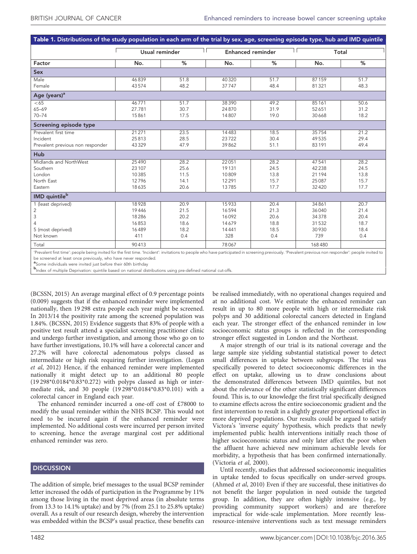<span id="page-3-0"></span>

| Table 1. Distributions of the study population in each arm of the trial by sex, age, screening episode type, hub and IMD quintile |                                                  |                                             |                                                  |                                             |                                                  |                                             |
|-----------------------------------------------------------------------------------------------------------------------------------|--------------------------------------------------|---------------------------------------------|--------------------------------------------------|---------------------------------------------|--------------------------------------------------|---------------------------------------------|
|                                                                                                                                   | Usual reminder                                   |                                             |                                                  | <b>Enhanced reminder</b>                    |                                                  | Total                                       |
| Factor                                                                                                                            | No.                                              | %                                           | No.                                              | %                                           | No.                                              | %                                           |
| Sex                                                                                                                               |                                                  |                                             |                                                  |                                             |                                                  |                                             |
| Male<br>Female                                                                                                                    | 46839<br>43574                                   | 51.8<br>48.2                                | 40 3 20<br>37747                                 | 51.7<br>48.4                                | 87159<br>81321                                   | 51.7<br>48.3                                |
| Age (years) <sup>a</sup>                                                                                                          |                                                  |                                             |                                                  |                                             |                                                  |                                             |
| < 65<br>65-69<br>$70 - 74$                                                                                                        | 46771<br>27.781<br>15861                         | 51.7<br>30.7<br>17.5                        | 38390<br>24 8 70<br>14807                        | 49.2<br>31.9<br>19.0                        | 85161<br>52651<br>30668                          | 50.6<br>31.2<br>18.2                        |
| Screening episode type                                                                                                            |                                                  |                                             |                                                  |                                             |                                                  |                                             |
| Prevalent first time<br>Incident<br>Prevalent previous non responder                                                              | 21 27 1<br>25813<br>43329                        | 23.5<br>28.5<br>47.9                        | 14483<br>23722<br>39862                          | 18.5<br>30.4<br>51.1                        | 35754<br>49535<br>83191                          | 21.2<br>29.4<br>49.4                        |
| Hub                                                                                                                               |                                                  |                                             |                                                  |                                             |                                                  |                                             |
| Midlands and NorthWest<br>Southern<br>London<br>North East<br>Eastern                                                             | 25490<br>23 107<br>10385<br>12796<br>18635       | 28.2<br>25.6<br>11.5<br>14.1<br>20.6        | 22051<br>19131<br>10809<br>12291<br>13785        | 28.2<br>24.5<br>13.8<br>15.7<br>17.7        | 47541<br>42238<br>21 1 9 4<br>25087<br>32420     | 28.2<br>24.5<br>13.8<br>15.7<br>17.7        |
| <b>IMD</b> quintileb                                                                                                              |                                                  |                                             |                                                  |                                             |                                                  |                                             |
| 1 (least deprived)<br>$\overline{2}$<br>$\mathbf{3}$<br>$\overline{4}$<br>5 (most deprived)<br>Not known                          | 18928<br>19446<br>18286<br>16853<br>16489<br>411 | 20.9<br>21.5<br>20.2<br>18.6<br>18.2<br>0.4 | 15933<br>16594<br>16092<br>14679<br>14441<br>328 | 20.4<br>21.3<br>20.6<br>18.8<br>18.5<br>0.4 | 34861<br>36040<br>34378<br>31532<br>30930<br>739 | 20.7<br>21.4<br>20.4<br>18.7<br>18.4<br>0.4 |
| Total                                                                                                                             | 90413                                            |                                             | 78067                                            |                                             | 168480                                           |                                             |

'Prevalent first time': people being invited for the first time. 'Incident': invitations to people who have participated in screening previously. 'Prevalent previous non responder': people invited to be screened at least once previously, who have never responded.

a<br>Some individuals were invited just before their 60th birthday

b Index of multiple Deprivation: quintile based on national distributions using pre-defined national cut-offs.

(BCSSN, 2015) An average marginal effect of 0.9 percentage points (0.009) suggests that if the enhanced reminder were implemented nationally, then 19 298 extra people each year might be screened. In 2013/14 the positivity rate among the screened population was 1.84%. ([BCSSN, 2015\)](#page-6-0) Evidence suggests that 83% of people with a positive test result attend a specialist screening practitioner clinic and undergo further investigation, and among those who go on to have further investigations, 10.1% will have a colorectal cancer and 27.2% will have colorectal adenomatous polyps classed as intermediate or high risk requiring further investigation. ([Logan](#page-6-0) et al[, 2012](#page-6-0)) Hence, if the enhanced reminder were implemented nationally it might detect up to an additional 80 people (19 298\*0.0184\*0.83\*0.272) with polyps classed as high or intermediate risk, and 30 people (19 298\*0.0184\*0.83\*0.101) with a colorectal cancer in England each year.

The enhanced reminder incurred a one-off cost of  $£78000$  to modify the usual reminder within the NHS BCSP. This would not need to be incurred again if the enhanced reminder were implemented. No additional costs were incurred per person invited to screening, hence the average marginal cost per additional enhanced reminder was zero.

### **DISCUSSION**

The addition of simple, brief messages to the usual BCSP reminder letter increased the odds of participation in the Programme by 11% among those living in the most deprived areas (in absolute terms from 13.3 to 14.1% uptake) and by 7% (from 25.1 to 25.8% uptake) overall. As a result of our research design, whereby the intervention was embedded within the BCSP's usual practice, these benefits can

be realised immediately, with no operational changes required and at no additional cost. We estimate the enhanced reminder can result in up to 80 more people with high or intermediate risk polyps and 30 additional colorectal cancers detected in England each year. The stronger effect of the enhanced reminder in low socioeconomic status groups is reflected in the corresponding stronger effect suggested in London and the Northeast.

A major strength of our trial is its national coverage and the large sample size yielding substantial statistical power to detect small differences in uptake between subgroups. The trial was specifically powered to detect socioeconomic differences in the effect on uptake, allowing us to draw conclusions about the demonstrated differences between IMD quintiles, but not about the relevance of the other statistically significant differences found. This is, to our knowledge the first trial specifically designed to examine effects across the entire socioeconomic gradient and the first intervention to result in a slightly greater proportional effect in more deprived populations. Our results could be argued to satisfy Victora's 'inverse equity' hypothesis, which predicts that newly implemented public health interventions initially reach those of higher socioeconomic status and only later affect the poor when the affluent have achieved new minimum achievable levels for morbidity, a hypothesis that has been confirmed internationally. ([Victoria](#page-6-0) et al, 2000).

Until recently, studies that addressed socioeconomic inequalities in uptake tended to focus specifically on under-served groups. ([Ahmed](#page-6-0) et al, 2010) Even if they are successful, these initiatives do not benefit the larger population in need outside the targeted group. In addition, they are often highly intensive (e.g., by providing community support workers) and are therefore impractical for wide-scale implementation. More recently lessresource-intensive interventions such as text message reminders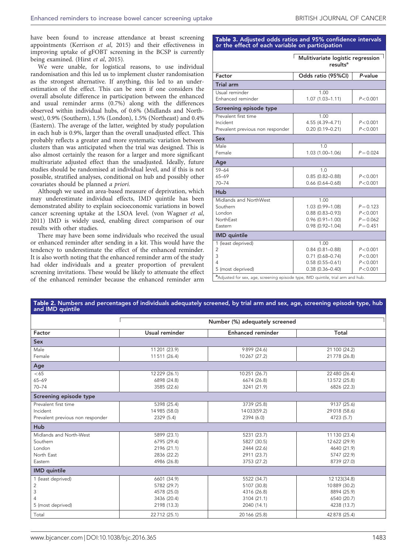<span id="page-4-0"></span>have been found to increase attendance at breast screening appointments [\(Kerrison](#page-6-0) et al, 2015) and their effectiveness in improving uptake of gFOBT screening in the BCSP is currently being examined. (Hirst et al[, 2015](#page-6-0)).

We were unable, for logistical reasons, to use individual randomisation and this led us to implement cluster randomisation as the strongest alternative. If anything, this led to an underestimation of the effect. This can be seen if one considers the overall absolute difference in participation between the enhanced and usual reminder arms (0.7%) along with the differences observed within individual hubs, of 0.6% (Midlands and Northwest), 0.9% (Southern), 1.5% (London), 1.5% (Northeast) and 0.4% (Eastern). The average of the latter, weighted by study population in each hub is 0.9%, larger than the overall unadjusted effect. This probably reflects a greater and more systematic variation between clusters than was anticipated when the trial was designed. This is also almost certainly the reason for a larger and more significant multivariate adjusted effect than the unadjusted. Ideally, future studies should be randomised at individual level, and if this is not possible, stratified analyses, conditional on hub and possibly other covariates should be planned a priori.

Although we used an area-based measure of deprivation, which may underestimate individual effects, IMD quintile has been demonstrated ability to explain socioeconomic variations in bowel cancer screening uptake at the LSOA level. [\(von Wagner](#page-6-0) et al, [2011](#page-6-0)) IMD is widely used, enabling direct comparison of our results with other studies.

There may have been some individuals who received the usual or enhanced reminder after sending in a kit. This would have the tendency to underestimate the effect of the enhanced reminder. It is also worth noting that the enhanced reminder arm of the study had older individuals and a greater proportion of prevalent screening invitations. These would be likely to attenuate the effect of the enhanced reminder because the enhanced reminder arm

Table 3. Adjusted odds ratios and 95% confidence intervals or the effect of each variable on participation

|                                                                                              | Mulitivariate logistic regression<br>results <sup>a</sup> |             |  |  |
|----------------------------------------------------------------------------------------------|-----------------------------------------------------------|-------------|--|--|
|                                                                                              |                                                           |             |  |  |
| Factor                                                                                       | Odds ratio (95%CI)                                        | P-value     |  |  |
| <b>Trial arm</b>                                                                             |                                                           |             |  |  |
| Usual reminder                                                                               | 1.00                                                      |             |  |  |
| Enhanced reminder                                                                            | $1.07(1.03 - 1.11)$                                       | P < 0.001   |  |  |
| Screening episode type                                                                       |                                                           |             |  |  |
| Prevalent first time                                                                         | 1.00                                                      |             |  |  |
| Incident                                                                                     | 4.55 (4.39-4.71)                                          | P < 0.001   |  |  |
| Prevalent previous non responder                                                             | $0.20(0.19 - 0.21)$                                       | P < 0.001   |  |  |
| Sex                                                                                          |                                                           |             |  |  |
| Male                                                                                         | 1.0                                                       |             |  |  |
| Female                                                                                       | 1.03 (1.00-1.06)                                          | $P = 0.024$ |  |  |
| Age                                                                                          |                                                           |             |  |  |
| 59-64                                                                                        | 1.0                                                       |             |  |  |
| 65-69                                                                                        | $0.85(0.82 - 0.88)$                                       | P < 0.001   |  |  |
| $70 - 74$                                                                                    | $0.66$ (0.64-0.68)                                        | P < 0.001   |  |  |
| Hub                                                                                          |                                                           |             |  |  |
| Midlands and NorthWest                                                                       | 1.00                                                      |             |  |  |
| Southern                                                                                     | 1.03 (0.99-1.08)                                          | $P = 0.123$ |  |  |
| London                                                                                       | $0.88(0.83 - 0.93)$                                       | P < 0.001   |  |  |
| NorthEast                                                                                    | $0.96(0.91 - 1.00)$                                       | $P = 0.062$ |  |  |
| Eastern                                                                                      | $0.98(0.92 - 1.04)$                                       | $P = 0.451$ |  |  |
| <b>IMD</b> quintile                                                                          |                                                           |             |  |  |
| 1 (least deprived)                                                                           | 1.00                                                      |             |  |  |
| 2                                                                                            | $0.84(0.81 - 0.88)$                                       | P < 0.001   |  |  |
| 3                                                                                            | $0.71(0.68 - 0.74)$                                       | P < 0.001   |  |  |
| 4                                                                                            | $0.58(0.55 - 0.61)$                                       | P < 0.001   |  |  |
| 5 (most deprived)                                                                            | $0.38(0.36 - 0.40)$                                       | P < 0.001   |  |  |
| <sup>a</sup> Adjusted for sex, age, screening episode type, IMD quintile, trial arm and hub. |                                                           |             |  |  |

Table 2. Numbers and percentages of individuals adequately screened, by trial arm and sex, age, screening episode type, hub<br>and IMD quintile

|                                  | Number (%) adequately screened |                          |                |  |  |
|----------------------------------|--------------------------------|--------------------------|----------------|--|--|
| Factor                           | Usual reminder                 | <b>Enhanced reminder</b> | Total          |  |  |
| Sex                              |                                |                          |                |  |  |
| Male                             | 11 201 (23.9)                  | 9899 (24.6)              | 21 100 (24.2)  |  |  |
| Female                           | 11511 (26.4)                   | 10267 (27.2)             | 21 778 (26.8)  |  |  |
| Age                              |                                |                          |                |  |  |
| < 65                             | 12 229 (26.1)                  | 10251 (26.7)             | 22 480 (26.4)  |  |  |
| 65-69                            | 6898 (24.8)                    | 6674 (26.8)              | 13 572 (25.8)  |  |  |
| $70 - 74$                        | 3585 (22.6)                    | 3241 (21.9)              | 6826 (22.3)    |  |  |
| Screening episode type           |                                |                          |                |  |  |
| Prevalent first time             | 5398 (25.4)                    | 3739 (25.8)              | 9137 (25.6)    |  |  |
| Incident                         | 14 985 (58.0)                  | 14 03 3 (59.2)           | 29 018 (58.6)  |  |  |
| Prevalent previous non responder | 2329 (5.4)                     | 2394 (6.0)               | 4723 (5.7)     |  |  |
| Hub                              |                                |                          |                |  |  |
| Midlands and North-West          | 5899 (23.1)                    | 5231 (23.7)              | 11 130 (23.4)  |  |  |
| Southern                         | 6795 (29.4)                    | 5827 (30.5)              | 12622 (29.9)   |  |  |
| London                           | 2196 (21.1)                    | 2444 (22.6)              | 4640 (21.9)    |  |  |
| North East                       | 2836 (22.2)                    | 2911 (23.7)              | 5747 (22.9)    |  |  |
| Eastern                          | 4986 (26.8)                    | 3753 (27.2)              | 8739 (27.0)    |  |  |
| <b>IMD</b> quintile              |                                |                          |                |  |  |
| 1 (least deprived)               | 6601 (34.9)                    | 5522 (34.7)              | 12 12 3 (34.8) |  |  |
| $\overline{2}$                   | 5782 (29.7)                    | 5107 (30.8)              | 10 889 (30.2)  |  |  |
| 3                                | 4578 (25.0)                    | 4316 (26.8)              | 8894 (25.9)    |  |  |
| $\overline{4}$                   | 3436 (20.4)                    | 3104 (21.1)              | 6540 (20.7)    |  |  |
| 5 (most deprived)                | 2198 (13.3)                    | 2040 (14.1)              | 4238 (13.7)    |  |  |
| Total                            | 22712 (25.1)                   | 20 166 (25.8)            | 42 878 (25.4)  |  |  |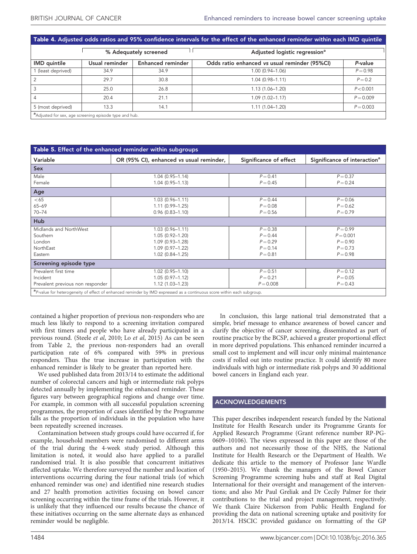<span id="page-5-0"></span>

| Table 4. Adjusted odds ratios and 95% confidence intervals for the effect of the enhanced reminder within each IMD quintile |                       |                          |                                               |             |  |
|-----------------------------------------------------------------------------------------------------------------------------|-----------------------|--------------------------|-----------------------------------------------|-------------|--|
|                                                                                                                             | % Adequately screened |                          | Adjusted logistic regression <sup>a</sup>     |             |  |
| <b>IMD</b> quintile                                                                                                         | Usual reminder        | <b>Enhanced reminder</b> | Odds ratio enhanced vs usual reminder (95%CI) | P-value     |  |
| (least deprived)                                                                                                            | 34.9                  | 34.9                     | 1.00 (0.94-1.06)                              | $P = 0.98$  |  |
|                                                                                                                             | 29.7                  | 30.8                     | $1.04(0.98 - 1.11)$                           | $P = 0.2$   |  |
|                                                                                                                             | 25.0                  | 26.8                     | $1.13(1.06 - 1.20)$                           | P < 0.001   |  |
|                                                                                                                             | 20.4                  | 21.1                     | 1.09 (1.02-1.17)                              | $P = 0.009$ |  |
| 5 (most deprived)                                                                                                           | 13.3                  | 14.1                     | $1.11(1.04 - 1.20)$                           | $P = 0.003$ |  |
| <sup>a</sup> Adiusted for sex, age screening episode type and hub.                                                          |                       |                          |                                               |             |  |

Adjusted for sex, age screening episode type and hub.

| Table 5. Effect of the enhanced reminder within subgroups                                                                          |                                          |                        |                                          |  |  |
|------------------------------------------------------------------------------------------------------------------------------------|------------------------------------------|------------------------|------------------------------------------|--|--|
| Variable                                                                                                                           | OR (95% CI), enhanced vs usual reminder, | Significance of effect | Significance of interaction <sup>a</sup> |  |  |
| Sex                                                                                                                                |                                          |                        |                                          |  |  |
| Male                                                                                                                               | $1.04(0.95 - 1.14)$                      | $P = 0.41$             | $P = 0.37$                               |  |  |
| Female                                                                                                                             | $1.04(0.95 - 1.13)$                      | $P = 0.45$             | $P = 0.24$                               |  |  |
| Age                                                                                                                                |                                          |                        |                                          |  |  |
| < 65                                                                                                                               | $1.03(0.96 - 1.11)$                      | $P = 0.44$             | $P = 0.06$                               |  |  |
| $65 - 69$                                                                                                                          | $1.11(0.99 - 1.25)$                      | $P = 0.08$             | $P = 0.62$                               |  |  |
| $70 - 74$                                                                                                                          | $0.96(0.83 - 1.10)$                      | $P = 0.56$             | $P = 0.79$                               |  |  |
| Hub                                                                                                                                |                                          |                        |                                          |  |  |
| Midlands and NorthWest                                                                                                             | $1.03(0.96 - 1.11)$                      | $P = 0.38$             | $P = 0.99$                               |  |  |
| Southern                                                                                                                           | $1.05(0.92 - 1.20)$                      | $P = 0.44$             | $P = 0.001$                              |  |  |
| London                                                                                                                             | $1.09(0.93 - 1.28)$                      | $P = 0.29$             | $P = 0.90$                               |  |  |
| NorthEast                                                                                                                          | $1.09(0.97 - 1.22)$                      | $P = 0.14$             | $P = 0.73$                               |  |  |
| Eastern                                                                                                                            | $1.02(0.84 - 1.25)$                      | $P = 0.81$             | $P = 0.98$                               |  |  |
| Screening episode type                                                                                                             |                                          |                        |                                          |  |  |
| Prevalent first time                                                                                                               | $1.02(0.95 - 1.10)$                      | $P = 0.51$             | $P = 0.12$                               |  |  |
| Incident                                                                                                                           | $1.05(0.97 - 1.12)$                      | $P = 0.21$             | $P = 0.05$                               |  |  |
| Prevalent previous non responder                                                                                                   | $1.12(1.03 - 1.23)$                      | $P = 0.008$            | $P = 0.43$                               |  |  |
| a <sub>P-value</sub> for heterogeneity of effect of enhanced reminder by IMD expressed as a continuous score within each subgroup. |                                          |                        |                                          |  |  |

contained a higher proportion of previous non-responders who are much less likely to respond to a screening invitation compared with first timers and people who have already participated in a previous round. (Steele et al[, 2010](#page-6-0); Lo et al[, 2015](#page-6-0)) As can be seen from [Table 2](#page-4-0), the previous non-responders had an overall participation rate of 6% compared with 59% in previous responders. Thus the true increase in participation with the enhanced reminder is likely to be greater than reported here.

We used published data from 2013/14 to estimate the additional number of colorectal cancers and high or intermediate risk polyps detected annually by implementing the enhanced reminder. These figures vary between geographical regions and change over time. For example, in common with all successful population screening programmes, the proportion of cases identified by the Programme falls as the proportion of individuals in the population who have been repeatedly screened increases.

Contamination between study groups could have occurred if, for example, household members were randomised to different arms of the trial during the 4-week study period. Although this limitation is noted, it would also have applied to a parallel randomised trial. It is also possible that concurrent initiatives affected uptake. We therefore surveyed the number and location of interventions occurring during the four national trials (of which enhanced reminder was one) and identified nine research studies and 27 health promotion activities focusing on bowel cancer screening occurring within the time frame of the trials. However, it is unlikely that they influenced our results because the chance of these initiatives occurring on the same alternate days as enhanced reminder would be negligible.

In conclusion, this large national trial demonstrated that a simple, brief message to enhance awareness of bowel cancer and clarify the objective of cancer screening, disseminated as part of routine practice by the BCSP, achieved a greater proportional effect in more deprived populations. This enhanced reminder incurred a small cost to implement and will incur only minimal maintenance costs if rolled out into routine practice. It could identify 80 more individuals with high or intermediate risk polyps and 30 additional bowel cancers in England each year.

# ACKNOWLEDGEMENTS

This paper describes independent research funded by the National Institute for Health Research under its Programme Grants for Applied Research Programme (Grant reference number RP-PG-0609–10106). The views expressed in this paper are those of the authors and not necessarily those of the NHS, the National Institute for Health Research or the Department of Health. We dedicate this article to the memory of Professor Jane Wardle (1950–2015). We thank the managers of the Bowel Cancer Screening Programme screening hubs and staff at Real Digital International for their oversight and management of the interventions; and also Mr Paul Greliak and Dr Cecily Palmer for their contributions to the trial and project management, respectively. We thank Claire Nickerson from Public Health England for providing the data on national screening uptake and positivity for 2013/14. HSCIC provided guidance on formatting of the GP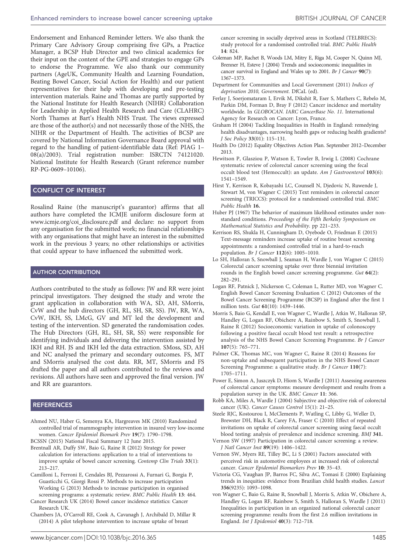<span id="page-6-0"></span>Endorsement and Enhanced Reminder letters. We also thank the Primary Care Advisory Group comprising five GPs, a Practice Manager, a BCSP Hub Director and two clinical academics for their input on the content of the GPE and strategies to engage GPs to endorse the Programme. We also thank our community partners (AgeUK, Community Health and Learning Foundation, Beating Bowel Cancer, Social Action for Health) and our patient representatives for their help with developing and pre-testing intervention materials. Raine and Thomas are partly supported by the National Institute for Health Research (NIHR) Collaboration for Leadership in Applied Health Research and Care (CLAHRC) North Thames at Bart's Health NHS Trust. The views expressed are those of the author(s) and not necessarily those of the NHS, the NIHR or the Department of Health. The activities of BCSP are covered by National Information Governance Board approval with regard to the handling of patient-identifiable data (Ref: PIAG 1– 08(a)/2003). Trial registration number: ISRCTN 74121020. National Institute for Health Research (Grant reference number RP-PG-0609–10106).

#### CONFLICT OF INTEREST

Rosalind Raine (the manuscript's guarantor) affirms that all authors have completed the ICMJE uniform disclosure form at [www.icmje.org/coi\\_disclosure.pdf](www.icmje.org/coi_disclosure.pdf) and declare: no support from any organisation for the submitted work; no financial relationships with any organisations that might have an interest in the submitted work in the previous 3 years; no other relationships or activities that could appear to have influenced the submitted work.

#### AUTHOR CONTRIBUTION

Authors contributed to the study as follows: JW and RR were joint principal investigators. They designed the study and wrote the grant application in collaboration with WA, SD, AH, SMorris, CvW and the hub directors (GH, RL, SH, SR, SS). JW, RR, WA, CvW, IKH, SS, LMcG, GV and MT led the development and testing of the intervention. SD generated the randomisation codes. The Hub Directors (GH, RL, SH, SR, SS) were responsible for identifying individuals and delivering the intervention assisted by IKH and RH. JS and IKH led the data extraction. SMoss, SD, AH and NC analysed the primary and secondary outcomes. FS, MT and SMorris analysed the cost data. RR, MT, SMorris and FS drafted the paper and all authors contributed to the reviews and revisions. All authors have seen and approved the final version. JW and RR are guarantors.

#### **REFERENCES**

Ahmed NU, Haber G, Semenya KA, Hargreaves MK (2010) Randomized controlled trial of mammography intervention in insured very low-income women. Cancer Epidemiol Biomark Prev 19(7): 1790–1798.

BCSSN (2015) National Fiscal Summary 12 June 2015.

- Brentnall AR, Duffy SW, Baio G, Raine R (2012) Strategy for power calculation for interactions: application to a trial of interventions to improve uptake of bowel cancer screening. Contemp Clin Trials 33(1): 213–217.
- Camilloni L, Ferroni E, Cendales BJ, Pezzarossi A, Furnari G, Borgia P, Guasticchi G, Giorgi Rossi P. Methods to increase participation Working G (2013) Methods to increase participation in organised screening programs: a systematic review. BMC Public Health 13: 464.
- Cancer Research UK (2014) Bowel cancer incidence statistics: Cancer Research UK.
- Chambers JA, O'Carroll RE, Cook A, Cavanagh J, Archibald D, Millar R (2014) A pilot telephone intervention to increase uptake of breast

cancer screening in socially deprived areas in Scotland (TELBRECS): study protocol for a randomised controlled trial. BMC Public Health 14: 824.

- Coleman MP, Rachet B, Woods LM, Mitry E, Riga M, Cooper N, Quinn MJ, Brenner H, Esteve J (2004) Trends and socioeconomic inequalities in cancer survival in England and Wales up to 2001. Br J Cancer 90(7): 1367–1373.
- Department for Communities and Local Government (2011) Indices of deprivation 2010, Government. DfCaL (ed).
- Ferlay J, Soerjomataram I, Ervik M, Dikshit R, Eser S, Mathers C, Rebelo M, Parkin DM, Forman D, Bray F (2012) Cancer incidence and mortality worldwide. In GLOBOCAN. IARC CancerBase No. 11. International Agency for Research on Cancer: Lyon, France.
- Graham H (2004) Tackling Inequalities in Health in England: remedying health disadvantages, narrowing health gaps or reducing health gradients? J Soc Policy 33(01): 115–131.
- Health Do (2012) Equality Objectives Action Plan. September 2012–December 2013.
- Hewitson P, Glasziou P, Watson E, Towler B, Irwig L (2008) Cochrane systematic review of colorectal cancer screening using the fecal occult blood test (Hemoccult): an update. Am J Gastroenterol 103(6): 1541–1549.
- Hirst Y, Kerrison R, Kobayashi LC, Counsell N, Djedovic N, Ruwende J, Stewart M, von Wagner C (2015) Text reminders in colorectal cancer screening (TRICCS): protocol for a randomised controlled trial. BMC Public Health 16.
- Huber PJ (1967) The behavior of maximum likelihood estimates under nonstandard conditions. Proceedings of the Fifth Berkeley Symposium on Mathematical Statistics and Probability. pp 221–233.
- Kerrison RS, Shukla H, Cunningham D, Oyebode O, Friedman E (2015) Text-message reminders increase uptake of routine breast screening appointments: a randomised controlled trial in a hard-to-reach population. Br J Cancer 112(6): 1005–1010.
- Lo SH, Halloran S, Snowball J, Seaman H, Wardle J, von Wagner C (2015) Colorectal cancer screening uptake over three biennial invitation rounds in the English bowel cancer screening programme. Gut 64(2): 282–291.
- Logan RF, Patnick J, Nickerson C, Coleman L, Rutter MD, von Wagner C. English Bowel Cancer Screening Evaluation C (2012) Outcomes of the Bowel Cancer Screening Programme (BCSP) in England after the first 1 million tests. Gut 61(10): 1439–1446.
- Morris S, Baio G, Kendall E, von Wagner C, Wardle J, Atkin W, Halloran SP, Handley G, Logan RF, Obichere A, Rainbow S, Smith S, Snowball J, Raine R (2012) Socioeconomic variation in uptake of colonoscopy following a positive faecal occult blood test result: a retrospective analysis of the NHS Bowel Cancer Screening Programme. Br J Cancer 107(5): 765–771.
- Palmer CK, Thomas MC, von Wagner C, Raine R (2014) Reasons for non-uptake and subsequent participation in the NHS Bowel Cancer Screening Programme: a qualitative study. Br J Cancer 110(7): 1705–1711.
- Power E, Simon A, Juszczyk D, Hiom S, Wardle J (2011) Assessing awareness of colorectal cancer symptoms: measure development and results from a population survey in the UK. BMC Cancer 11: 366.
- Robb KA, Miles A, Wardle J (2004) Subjective and objective risk of colorectal cancer (UK). Cancer Causes Control 15(1): 21–25.
- Steele RJC, Kostourou I, McClements P, Watling C, Libby G, Weller D, Brewster DH, Black R, Carey FA, Fraser C (2010) Effect of repeated invitations on uptake of colorectal cancer screening using faecal occult blood testing: analysis of prevalence and incidence screening. BMJ 341.
- Vernon SW (1997) Participation in colorectal cancer screening: a review. J Natl Cancer Inst 89(19): 1406–1422.
- Vernon SW, Myers RE, Tilley BC, Li S (2001) Factors associated with perceived risk in automotive employees at increased risk of colorectal cancer. Cancer Epidemiol Biomarkers Prev 10: 35–43.
- Victoria CG, Vaughan JP, Barros FC, Silva AC, Tomasi E (2000) Explaining trends in inequities: evidence from Brazilian child health studies. Lancet 356(9235): 1093–1098.
- von Wagner C, Baio G, Raine R, Snowball J, Morris S, Atkin W, Obichere A, Handley G, Logan RF, Rainbow S, Smith S, Halloran S, Wardle J (2011) Inequalities in participation in an organized national colorectal cancer screening programme: results from the first 2.6 million invitations in England. Int J Epidemiol 40(3): 712–718.